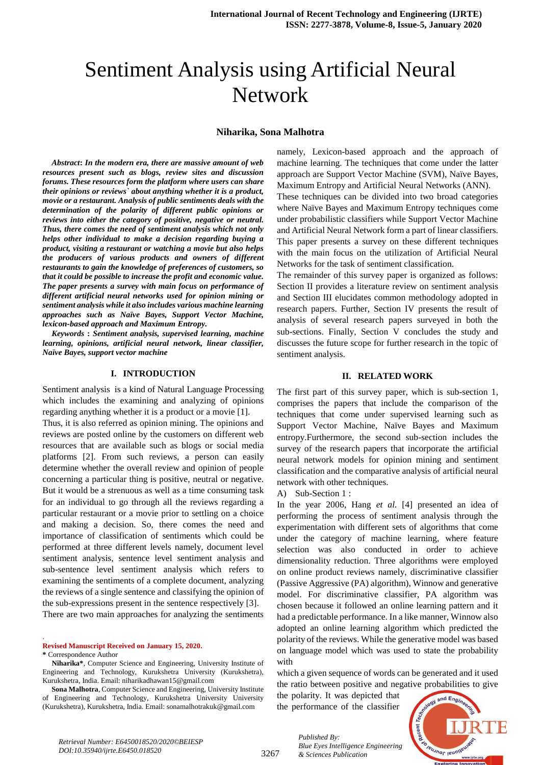# Sentiment Analysis using Artificial Neural Network

#### **Niharika, Sona Malhotra**

*Abstract***:** *In the modern era, there are massive amount of web resources present such as blogs, review sites and discussion forums. These resources form the platform where users can share their opinions or reviews` about anything whether it is a product, movie or a restaurant. Analysis of public sentiments deals with the determination of the polarity of different public opinions or reviews into either the category of positive, negative or neutral. Thus, there comes the need of sentiment analysis which not only helps other individual to make a decision regarding buying a product, visiting a restaurant or watching a movie but also helps the producers of various products and owners of different restaurants to gain the knowledge of preferences of customers, so that it could be possible to increase the profit and economic value. The paper presents a survey with main focus on performance of different artificial neural networks used for opinion mining or sentiment analysis while it also includes various machine learning approaches such as Naïve Bayes, Support Vector Machine, lexicon-based approach and Maximum Entropy.*

*Keywords* **:** *Sentiment analysis, supervised learning, machine learning, opinions, artificial neural network, linear classifier, Naïve Bayes, support vector machine*

## **I. INTRODUCTION**

Sentiment analysis is a kind of Natural Language Processing which includes the examining and analyzing of opinions regarding anything whether it is a product or a movie [1].

Thus, it is also referred as opinion mining. The opinions and reviews are posted online by the customers on different web resources that are available such as blogs or social media platforms [2]. From such reviews, a person can easily determine whether the overall review and opinion of people concerning a particular thing is positive, neutral or negative. But it would be a strenuous as well as a time consuming task for an individual to go through all the reviews regarding a particular restaurant or a movie prior to settling on a choice and making a decision. So, there comes the need and importance of classification of sentiments which could be performed at three different levels namely, document level sentiment analysis, sentence level sentiment analysis and sub-sentence level sentiment analysis which refers to examining the sentiments of a complete document, analyzing the reviews of a single sentence and classifying the opinion of the sub-expressions present in the sentence respectively [3]. There are two main approaches for analyzing the sentiments

**Revised Manuscript Received on January 15, 2020.**

**\*** Correspondence Author

.

 **Niharika\***, Computer Science and Engineering, University Institute of Engineering and Technology, Kurukshetra University (Kurukshetra), Kurukshetra, India. Email: niharikadhawan15@gmail.com

**Sona Malhotra**, Computer Science and Engineering, University Institute of Engineering and Technology, Kurukshetra University University (Kurukshetra), Kurukshetra, India. Email: sonamalhotrakuk@gmail.com

namely, Lexicon-based approach and the approach of machine learning. The techniques that come under the latter approach are Support Vector Machine (SVM), Naïve Bayes, Maximum Entropy and Artificial Neural Networks (ANN). These techniques can be divided into two broad categories where Naïve Bayes and Maximum Entropy techniques come under probabilistic classifiers while Support Vector Machine and Artificial Neural Network form a part of linear classifiers. This paper presents a survey on these different techniques with the main focus on the utilization of Artificial Neural Networks for the task of sentiment classification.

The remainder of this survey paper is organized as follows: Section II provides a literature review on sentiment analysis and Section III elucidates common methodology adopted in research papers. Further, Section IV presents the result of analysis of several research papers surveyed in both the sub-sections. Finally, Section V concludes the study and discusses the future scope for further research in the topic of sentiment analysis.

## **II. RELATED WORK**

The first part of this survey paper, which is sub-section 1, comprises the papers that include the comparison of the techniques that come under supervised learning such as Support Vector Machine, Naïve Bayes and Maximum entropy.Furthermore, the second sub-section includes the survey of the research papers that incorporate the artificial neural network models for opinion mining and sentiment classification and the comparative analysis of artificial neural network with other techniques.

A) Sub-Section 1 :

In the year 2006, Hang *et al.* [4] presented an idea of performing the process of sentiment analysis through the experimentation with different sets of algorithms that come under the category of machine learning, where feature selection was also conducted in order to achieve dimensionality reduction. Three algorithms were employed on online product reviews namely, discriminative classifier (Passive Aggressive (PA) algorithm), Winnow and generative model. For discriminative classifier, PA algorithm was chosen because it followed an online learning pattern and it had a predictable performance. In a like manner, Winnow also adopted an online learning algorithm which predicted the polarity of the reviews. While the generative model was based on language model which was used to state the probability with

which a given sequence of words can be generated and it used the ratio between positive and negative probabilities to give

the polarity. It was depicted that the performance of the classifier

*& Sciences Publication* 

*Blue Eyes Intelligence Engineering* 

*Published By:*



3267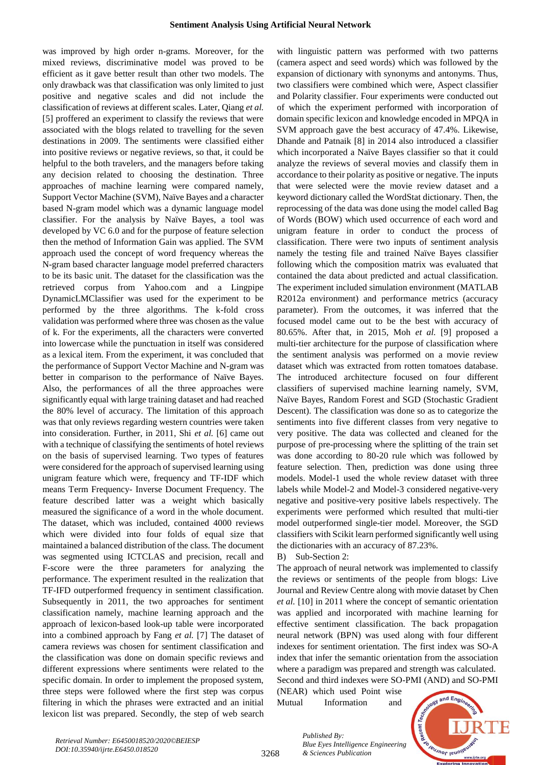was improved by high order n-grams. Moreover, for the mixed reviews, discriminative model was proved to be efficient as it gave better result than other two models. The only drawback was that classification was only limited to just positive and negative scales and did not include the classification of reviews at different scales. Later, Qiang *et al.*  [5] proffered an experiment to classify the reviews that were associated with the blogs related to travelling for the seven destinations in 2009. The sentiments were classified either into positive reviews or negative reviews, so that, it could be helpful to the both travelers, and the managers before taking any decision related to choosing the destination. Three approaches of machine learning were compared namely, Support Vector Machine (SVM), Naïve Bayes and a character based N-gram model which was a dynamic language model classifier. For the analysis by Naïve Bayes, a tool was developed by VC 6.0 and for the purpose of feature selection then the method of Information Gain was applied. The SVM approach used the concept of word frequency whereas the N-gram based character language model preferred characters to be its basic unit. The dataset for the classification was the retrieved corpus from Yahoo.com and a Lingpipe DynamicLMClassifier was used for the experiment to be performed by the three algorithms. The k-fold cross validation was performed where three was chosen as the value of k. For the experiments, all the characters were converted into lowercase while the punctuation in itself was considered as a lexical item. From the experiment, it was concluded that the performance of Support Vector Machine and N-gram was better in comparison to the performance of Naïve Bayes. Also, the performances of all the three approaches were significantly equal with large training dataset and had reached the 80% level of accuracy. The limitation of this approach was that only reviews regarding western countries were taken into consideration. Further, in 2011, Shi *et al.* [6] came out with a technique of classifying the sentiments of hotel reviews on the basis of supervised learning. Two types of features were considered for the approach of supervised learning using unigram feature which were, frequency and TF-IDF which means Term Frequency- Inverse Document Frequency. The feature described latter was a weight which basically measured the significance of a word in the whole document. The dataset, which was included, contained 4000 reviews which were divided into four folds of equal size that maintained a balanced distribution of the class. The document was segmented using ICTCLAS and precision, recall and F-score were the three parameters for analyzing the performance. The experiment resulted in the realization that TF-IFD outperformed frequency in sentiment classification. Subsequently in 2011, the two approaches for sentiment classification namely, machine learning approach and the approach of lexicon-based look-up table were incorporated into a combined approach by Fang *et al.* [7] The dataset of camera reviews was chosen for sentiment classification and the classification was done on domain specific reviews and different expressions where sentiments were related to the specific domain. In order to implement the proposed system, three steps were followed where the first step was corpus filtering in which the phrases were extracted and an initial lexicon list was prepared. Secondly, the step of web search

with linguistic pattern was performed with two patterns (camera aspect and seed words) which was followed by the expansion of dictionary with synonyms and antonyms. Thus, two classifiers were combined which were, Aspect classifier and Polarity classifier. Four experiments were conducted out of which the experiment performed with incorporation of domain specific lexicon and knowledge encoded in MPQA in SVM approach gave the best accuracy of 47.4%. Likewise, Dhande and Patnaik [8] in 2014 also introduced a classifier which incorporated a Naïve Bayes classifier so that it could analyze the reviews of several movies and classify them in accordance to their polarity as positive or negative. The inputs that were selected were the movie review dataset and a keyword dictionary called the WordStat dictionary. Then, the reprocessing of the data was done using the model called Bag of Words (BOW) which used occurrence of each word and unigram feature in order to conduct the process of classification. There were two inputs of sentiment analysis namely the testing file and trained Naïve Bayes classifier following which the composition matrix was evaluated that contained the data about predicted and actual classification. The experiment included simulation environment (MATLAB R2012a environment) and performance metrics (accuracy parameter). From the outcomes, it was inferred that the focused model came out to be the best with accuracy of 80.65%. After that, in 2015, Moh *et al.* [9] proposed a multi-tier architecture for the purpose of classification where the sentiment analysis was performed on a movie review dataset which was extracted from rotten tomatoes database. The introduced architecture focused on four different classifiers of supervised machine learning namely, SVM, Naïve Bayes, Random Forest and SGD (Stochastic Gradient Descent). The classification was done so as to categorize the sentiments into five different classes from very negative to very positive. The data was collected and cleaned for the purpose of pre-processing where the splitting of the train set was done according to 80-20 rule which was followed by feature selection. Then, prediction was done using three models. Model-1 used the whole review dataset with three labels while Model-2 and Model-3 considered negative-very negative and positive-very positive labels respectively. The experiments were performed which resulted that multi-tier model outperformed single-tier model. Moreover, the SGD classifiers with Scikit learn performed significantly well using the dictionaries with an accuracy of 87.23%.

## B) Sub-Section 2:

The approach of neural network was implemented to classify the reviews or sentiments of the people from blogs: Live Journal and Review Centre along with movie dataset by Chen *et al.* [10] in 2011 where the concept of semantic orientation was applied and incorporated with machine learning for effective sentiment classification. The back propagation neural network (BPN) was used along with four different indexes for sentiment orientation. The first index was SO-A index that infer the semantic orientation from the association where a paradigm was prepared and strength was calculated. Second and third indexes were SO-PMI (AND) and SO-PMI

(NEAR) which used Point wise Mutual Information and

*& Sciences Publication* 

*Published By:*



3268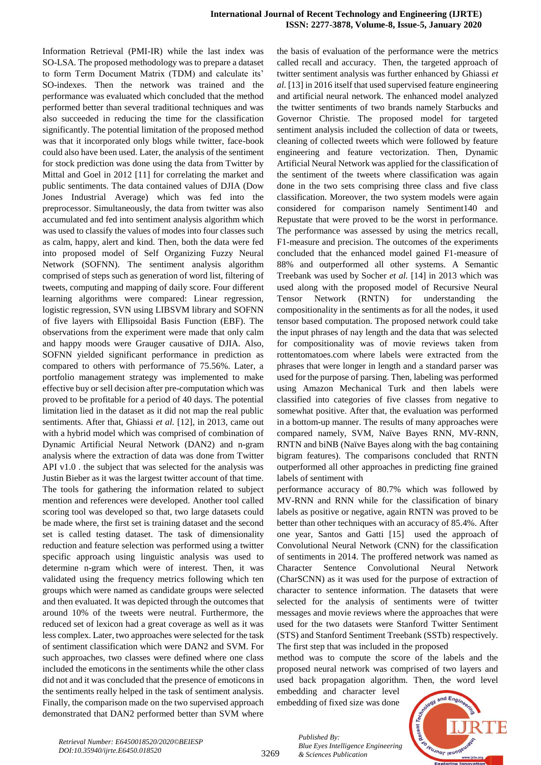Information Retrieval (PMI-IR) while the last index was SO-LSA. The proposed methodology was to prepare a dataset to form Term Document Matrix (TDM) and calculate its' SO-indexes. Then the network was trained and the performance was evaluated which concluded that the method performed better than several traditional techniques and was also succeeded in reducing the time for the classification significantly. The potential limitation of the proposed method was that it incorporated only blogs while twitter, face-book could also have been used. Later, the analysis of the sentiment for stock prediction was done using the data from Twitter by Mittal and Goel in 2012 [11] for correlating the market and public sentiments. The data contained values of DJIA (Dow Jones Industrial Average) which was fed into the preprocessor. Simultaneously, the data from twitter was also accumulated and fed into sentiment analysis algorithm which was used to classify the values of modes into four classes such as calm, happy, alert and kind. Then, both the data were fed into proposed model of Self Organizing Fuzzy Neural Network (SOFNN). The sentiment analysis algorithm comprised of steps such as generation of word list, filtering of tweets, computing and mapping of daily score. Four different learning algorithms were compared: Linear regression, logistic regression, SVN using LIBSVM library and SOFNN of five layers with Ellipsoidal Basis Function (EBF). The observations from the experiment were made that only calm and happy moods were Grauger causative of DJIA. Also, SOFNN yielded significant performance in prediction as compared to others with performance of 75.56%. Later, a portfolio management strategy was implemented to make effective buy or sell decision after pre-computation which was proved to be profitable for a period of 40 days. The potential limitation lied in the dataset as it did not map the real public sentiments. After that, Ghiassi *et al.* [12], in 2013, came out with a hybrid model which was comprised of combination of Dynamic Artificial Neural Network (DAN2) and n-gram analysis where the extraction of data was done from Twitter API v1.0 . the subject that was selected for the analysis was Justin Bieber as it was the largest twitter account of that time. The tools for gathering the information related to subject mention and references were developed. Another tool called scoring tool was developed so that, two large datasets could be made where, the first set is training dataset and the second set is called testing dataset. The task of dimensionality reduction and feature selection was performed using a twitter specific approach using linguistic analysis was used to determine n-gram which were of interest. Then, it was validated using the frequency metrics following which ten groups which were named as candidate groups were selected and then evaluated. It was depicted through the outcomes that around 10% of the tweets were neutral. Furthermore, the reduced set of lexicon had a great coverage as well as it was less complex. Later, two approaches were selected for the task of sentiment classification which were DAN2 and SVM. For such approaches, two classes were defined where one class included the emoticons in the sentiments while the other class did not and it was concluded that the presence of emoticons in the sentiments really helped in the task of sentiment analysis. Finally, the comparison made on the two supervised approach demonstrated that DAN2 performed better than SVM where the basis of evaluation of the performance were the metrics called recall and accuracy. Then, the targeted approach of twitter sentiment analysis was further enhanced by Ghiassi *et al.* [13] in 2016 itself that used supervised feature engineering and artificial neural network. The enhanced model analyzed the twitter sentiments of two brands namely Starbucks and Governor Christie. The proposed model for targeted sentiment analysis included the collection of data or tweets, cleaning of collected tweets which were followed by feature engineering and feature vectorization. Then, Dynamic Artificial Neural Network was applied for the classification of the sentiment of the tweets where classification was again done in the two sets comprising three class and five class classification. Moreover, the two system models were again considered for comparison namely Sentiment140 and Repustate that were proved to be the worst in performance. The performance was assessed by using the metrics recall, F1-measure and precision. The outcomes of the experiments concluded that the enhanced model gained F1-measure of 88% and outperformed all other systems. A Semantic Treebank was used by Socher *et al.* [14] in 2013 which was used along with the proposed model of Recursive Neural Tensor Network (RNTN) for understanding the compositionality in the sentiments as for all the nodes, it used tensor based computation. The proposed network could take the input phrases of nay length and the data that was selected for compositionality was of movie reviews taken from rottentomatoes.com where labels were extracted from the phrases that were longer in length and a standard parser was used for the purpose of parsing. Then, labeling was performed using Amazon Mechanical Turk and then labels were classified into categories of five classes from negative to somewhat positive. After that, the evaluation was performed in a bottom-up manner. The results of many approaches were compared namely, SVM, Naïve Bayes RNN, MV-RNN, RNTN and biNB (Naïve Bayes along with the bag containing bigram features). The comparisons concluded that RNTN outperformed all other approaches in predicting fine grained labels of sentiment with

performance accuracy of 80.7% which was followed by MV-RNN and RNN while for the classification of binary labels as positive or negative, again RNTN was proved to be better than other techniques with an accuracy of 85.4%. After one year, Santos and Gatti [15] used the approach of Convolutional Neural Network (CNN) for the classification of sentiments in 2014. The proffered network was named as Character Sentence Convolutional Neural Network (CharSCNN) as it was used for the purpose of extraction of character to sentence information. The datasets that were selected for the analysis of sentiments were of twitter messages and movie reviews where the approaches that were used for the two datasets were Stanford Twitter Sentiment (STS) and Stanford Sentiment Treebank (SSTb) respectively. The first step that was included in the proposed

method was to compute the score of the labels and the proposed neural network was comprised of two layers and used back propagation algorithm. Then, the word level

embedding and character level embedding of fixed size was done

*& Sciences Publication* 

*Blue Eyes Intelligence Engineering* 

*Published By:*

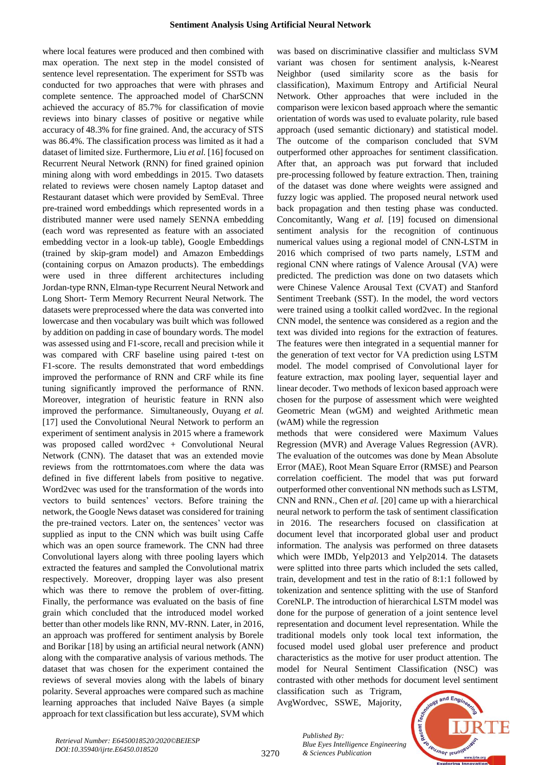where local features were produced and then combined with max operation. The next step in the model consisted of sentence level representation. The experiment for SSTb was conducted for two approaches that were with phrases and complete sentence. The approached model of CharSCNN achieved the accuracy of 85.7% for classification of movie reviews into binary classes of positive or negative while accuracy of 48.3% for fine grained. And, the accuracy of STS was 86.4%. The classification process was limited as it had a dataset of limited size. Furthermore, Liu *et al.* [16] focused on Recurrent Neural Network (RNN) for fined grained opinion mining along with word embeddings in 2015. Two datasets related to reviews were chosen namely Laptop dataset and Restaurant dataset which were provided by SemEval. Three pre-trained word embeddings which represented words in a distributed manner were used namely SENNA embedding (each word was represented as feature with an associated embedding vector in a look-up table), Google Embeddings (trained by skip-gram model) and Amazon Embeddings (containing corpus on Amazon products). The embeddings were used in three different architectures including Jordan-type RNN, Elman-type Recurrent Neural Network and Long Short- Term Memory Recurrent Neural Network. The datasets were preprocessed where the data was converted into lowercase and then vocabulary was built which was followed by addition on padding in case of boundary words. The model was assessed using and F1-score, recall and precision while it was compared with CRF baseline using paired t-test on F1-score. The results demonstrated that word embeddings improved the performance of RNN and CRF while its fine tuning significantly improved the performance of RNN. Moreover, integration of heuristic feature in RNN also improved the performance. Simultaneously, Ouyang *et al.* [17] used the Convolutional Neural Network to perform an experiment of sentiment analysis in 2015 where a framework was proposed called word2vec + Convolutional Neural Network (CNN). The dataset that was an extended movie reviews from the rottrntomatoes.com where the data was defined in five different labels from positive to negative. Word2vec was used for the transformation of the words into vectors to build sentences' vectors. Before training the network, the Google News dataset was considered for training the pre-trained vectors. Later on, the sentences' vector was supplied as input to the CNN which was built using Caffe which was an open source framework. The CNN had three Convolutional layers along with three pooling layers which extracted the features and sampled the Convolutional matrix respectively. Moreover, dropping layer was also present which was there to remove the problem of over-fitting. Finally, the performance was evaluated on the basis of fine grain which concluded that the introduced model worked better than other models like RNN, MV-RNN. Later, in 2016, an approach was proffered for sentiment analysis by Borele and Borikar [18] by using an artificial neural network (ANN) along with the comparative analysis of various methods. The dataset that was chosen for the experiment contained the reviews of several movies along with the labels of binary polarity. Several approaches were compared such as machine learning approaches that included Naïve Bayes (a simple approach for text classification but less accurate), SVM which

was based on discriminative classifier and multiclass SVM variant was chosen for sentiment analysis, k-Nearest Neighbor (used similarity score as the basis for classification), Maximum Entropy and Artificial Neural Network. Other approaches that were included in the comparison were lexicon based approach where the semantic orientation of words was used to evaluate polarity, rule based approach (used semantic dictionary) and statistical model. The outcome of the comparison concluded that SVM outperformed other approaches for sentiment classification. After that, an approach was put forward that included pre-processing followed by feature extraction. Then, training of the dataset was done where weights were assigned and fuzzy logic was applied. The proposed neural network used back propagation and then testing phase was conducted. Concomitantly, Wang *et al.* [19] focused on dimensional sentiment analysis for the recognition of continuous numerical values using a regional model of CNN-LSTM in 2016 which comprised of two parts namely, LSTM and regional CNN where ratings of Valence Arousal (VA) were predicted. The prediction was done on two datasets which were Chinese Valence Arousal Text (CVAT) and Stanford Sentiment Treebank (SST). In the model, the word vectors were trained using a toolkit called word2vec. In the regional CNN model, the sentence was considered as a region and the text was divided into regions for the extraction of features. The features were then integrated in a sequential manner for the generation of text vector for VA prediction using LSTM model. The model comprised of Convolutional layer for feature extraction, max pooling layer, sequential layer and linear decoder. Two methods of lexicon based approach were chosen for the purpose of assessment which were weighted Geometric Mean (wGM) and weighted Arithmetic mean (wAM) while the regression

methods that were considered were Maximum Values Regression (MVR) and Average Values Regression (AVR). The evaluation of the outcomes was done by Mean Absolute Error (MAE), Root Mean Square Error (RMSE) and Pearson correlation coefficient. The model that was put forward outperformed other conventional NN methods such as LSTM, CNN and RNN., Chen *et al.* [20] came up with a hierarchical neural network to perform the task of sentiment classification in 2016. The researchers focused on classification at document level that incorporated global user and product information. The analysis was performed on three datasets which were IMDb, Yelp2013 and Yelp2014. The datasets were splitted into three parts which included the sets called, train, development and test in the ratio of 8:1:1 followed by tokenization and sentence splitting with the use of Stanford CoreNLP. The introduction of hierarchical LSTM model was done for the purpose of generation of a joint sentence level representation and document level representation. While the traditional models only took local text information, the focused model used global user preference and product characteristics as the motive for user product attention. The model for Neural Sentiment Classification (NSC) was contrasted with other methods for document level sentiment

classification such as Trigram, AvgWordvec, SSWE, Majority,



*Retrieval Number: E6450018520/2020©BEIESP DOI:10.35940/ijrte.E6450.018520*

3270

*Published By: Blue Eyes Intelligence Engineering & Sciences Publication*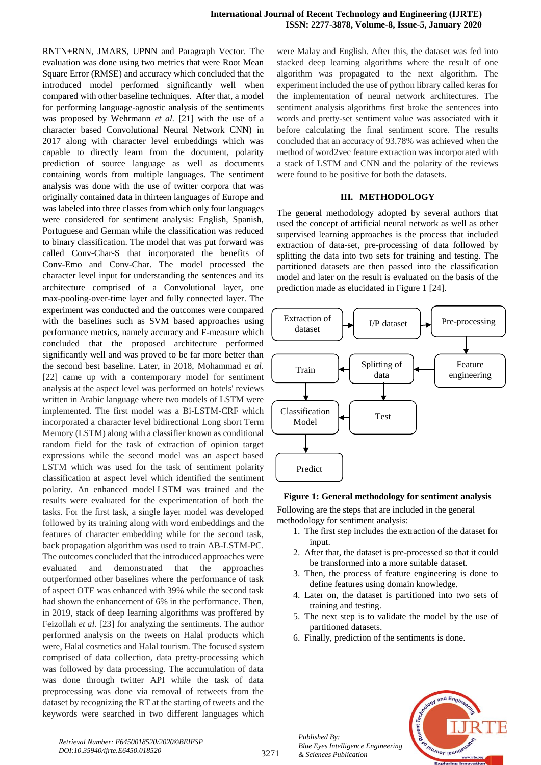RNTN+RNN, JMARS, UPNN and Paragraph Vector. The evaluation was done using two metrics that were Root Mean Square Error (RMSE) and accuracy which concluded that the introduced model performed significantly well when compared with other baseline techniques. After that, a model for performing language-agnostic analysis of the sentiments was proposed by Wehrmann *et al.* [21] with the use of a character based Convolutional Neural Network CNN) in 2017 along with character level embeddings which was capable to directly learn from the document, polarity prediction of source language as well as documents containing words from multiple languages. The sentiment analysis was done with the use of twitter corpora that was originally contained data in thirteen languages of Europe and was labeled into three classes from which only four languages were considered for sentiment analysis: English, Spanish, Portuguese and German while the classification was reduced to binary classification. The model that was put forward was called Conv-Char-S that incorporated the benefits of Conv-Emo and Conv-Char. The model processed the character level input for understanding the sentences and its architecture comprised of a Convolutional layer, one max-pooling-over-time layer and fully connected layer. The experiment was conducted and the outcomes were compared with the baselines such as SVM based approaches using performance metrics, namely accuracy and F-measure which concluded that the proposed architecture performed significantly well and was proved to be far more better than the second best baseline. Later, in 2018, Mohammad *et al.*  [22] came up with a contemporary model for sentiment analysis at the aspect level was performed on hotels' reviews written in Arabic language where two models of LSTM were implemented. The first model was a Bi-LSTM-CRF which incorporated a character level bidirectional Long short Term Memory (LSTM) along with a classifier known as conditional random field for the task of extraction of opinion target expressions while the second model was an aspect based LSTM which was used for the task of sentiment polarity classification at aspect level which identified the sentiment polarity. An enhanced model LSTM was trained and the results were evaluated for the experimentation of both the tasks. For the first task, a single layer model was developed followed by its training along with word embeddings and the features of character embedding while for the second task, back propagation algorithm was used to train AB-LSTM-PC. The outcomes concluded that the introduced approaches were evaluated and demonstrated that the approaches outperformed other baselines where the performance of task of aspect OTE was enhanced with 39% while the second task had shown the enhancement of 6% in the performance. Then, in 2019, stack of deep learning algorithms was proffered by Feizollah *et al.* [23] for analyzing the sentiments. The author performed analysis on the tweets on Halal products which were, Halal cosmetics and Halal tourism. The focused system comprised of data collection, data pretty-processing which was followed by data processing. The accumulation of data was done through twitter API while the task of data preprocessing was done via removal of retweets from the dataset by recognizing the RT at the starting of tweets and the keywords were searched in two different languages which

were Malay and English. After this, the dataset was fed into stacked deep learning algorithms where the result of one algorithm was propagated to the next algorithm. The experiment included the use of python library called keras for the implementation of neural network architectures. The sentiment analysis algorithms first broke the sentences into words and pretty-set sentiment value was associated with it before calculating the final sentiment score. The results concluded that an accuracy of 93.78% was achieved when the method of word2vec feature extraction was incorporated with a stack of LSTM and CNN and the polarity of the reviews were found to be positive for both the datasets.

## **III. METHODOLOGY**

The general methodology adopted by several authors that used the concept of artificial neural network as well as other supervised learning approaches is the process that included extraction of data-set, pre-processing of data followed by splitting the data into two sets for training and testing. The partitioned datasets are then passed into the classification model and later on the result is evaluated on the basis of the prediction made as elucidated in Figure 1 [24].



#### **Figure 1: General methodology for sentiment analysis**

Following are the steps that are included in the general methodology for sentiment analysis:

- 1. The first step includes the extraction of the dataset for input.
- 2. After that, the dataset is pre-processed so that it could be transformed into a more suitable dataset.
- 3. Then, the process of feature engineering is done to define features using domain knowledge.
- 4. Later on, the dataset is partitioned into two sets of training and testing.
- 5. The next step is to validate the model by the use of partitioned datasets.
- 6. Finally, prediction of the sentiments is done.



*Retrieval Number: E6450018520/2020©BEIESP DOI:10.35940/ijrte.E6450.018520*

*Published By:*

*& Sciences Publication* 

*Blue Eyes Intelligence Engineering*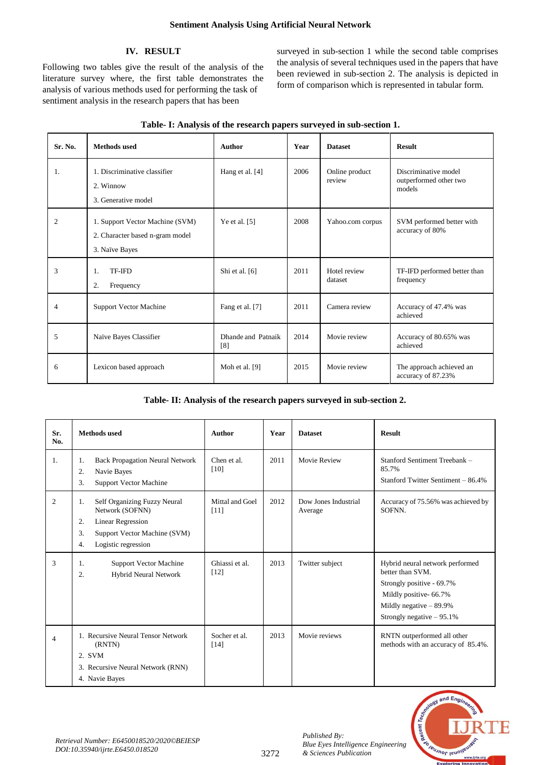# **IV. RESULT**

Following two tables give the result of the analysis of the literature survey where, the first table demonstrates the analysis of various methods used for performing the task of sentiment analysis in the research papers that has been

surveyed in sub-section 1 while the second table comprises the analysis of several techniques used in the papers that have been reviewed in sub-section 2. The analysis is depicted in form of comparison which is represented in tabular form.

| Sr. No. | <b>Methods</b> used                                                                  | Author                    | Year | <b>Dataset</b>           | <b>Result</b>                                            |
|---------|--------------------------------------------------------------------------------------|---------------------------|------|--------------------------|----------------------------------------------------------|
| 1.      | 1. Discriminative classifier<br>2. Winnow<br>3. Generative model                     | Hang et al. [4]           | 2006 | Online product<br>review | Discriminative model<br>outperformed other two<br>models |
| 2       | 1. Support Vector Machine (SVM)<br>2. Character based n-gram model<br>3. Naïve Bayes | Ye et al. $[5]$           | 2008 | Yahoo.com corpus         | SVM performed better with<br>accuracy of 80%             |
| 3       | <b>TF-IFD</b><br>1.<br>2.<br>Frequency                                               | Shi et al. [6]            | 2011 | Hotel review<br>dataset  | TF-IFD performed better than<br>frequency                |
| 4       | Support Vector Machine                                                               | Fang et al. [7]           | 2011 | Camera review            | Accuracy of 47.4% was<br>achieved                        |
| 5       | Naïve Bayes Classifier                                                               | Dhande and Patnaik<br>[8] | 2014 | Movie review             | Accuracy of 80.65% was<br>achieved                       |
| 6       | Lexicon based approach                                                               | Moh et al. [9]            | 2015 | Movie review             | The approach achieved an<br>accuracy of 87.23%           |

|  |  | Table- I: Analysis of the research papers surveyed in sub-section 1. |
|--|--|----------------------------------------------------------------------|
|  |  |                                                                      |

# **Table- II: Analysis of the research papers surveyed in sub-section 2.**

| Sr.<br>No.     | <b>Methods</b> used                                                                                                                                        | Author                    | Year | <b>Dataset</b>                  | <b>Result</b>                                                                                                                                                          |
|----------------|------------------------------------------------------------------------------------------------------------------------------------------------------------|---------------------------|------|---------------------------------|------------------------------------------------------------------------------------------------------------------------------------------------------------------------|
| 1.             | <b>Back Propagation Neural Network</b><br>1.<br>2.<br>Navie Bayes<br>3.<br>Support Vector Machine                                                          | Chen et al.<br>[10]       | 2011 | <b>Movie Review</b>             | Stanford Sentiment Treebank -<br>85.7%<br>Stanford Twitter Sentiment - 86.4%                                                                                           |
| $\overline{2}$ | Self Organizing Fuzzy Neural<br>1.<br>Network (SOFNN)<br><b>Linear Regression</b><br>2.<br>3.<br>Support Vector Machine (SVM)<br>Logistic regression<br>4. | Mittal and Goel<br>$[11]$ | 2012 | Dow Jones Industrial<br>Average | Accuracy of 75.56% was achieved by<br>SOFNN.                                                                                                                           |
| 3              | <b>Support Vector Machine</b><br>1.<br>$\overline{2}$ .<br><b>Hybrid Neural Network</b>                                                                    | Ghiassi et al.<br>$[12]$  | 2013 | Twitter subject                 | Hybrid neural network performed<br>better than SVM.<br>Strongly positive - 69.7%<br>Mildly positive- 66.7%<br>Mildly negative $-89.9\%$<br>Strongly negative $-95.1\%$ |
| $\overline{4}$ | 1. Recursive Neural Tensor Network<br>(RNTN)<br>2. SVM<br>3. Recursive Neural Network (RNN)<br>4. Navie Bayes                                              | Socher et al.<br>$[14]$   | 2013 | Movie reviews                   | RNTN outperformed all other<br>methods with an accuracy of 85.4%.                                                                                                      |



*Published By:*

*& Sciences Publication*